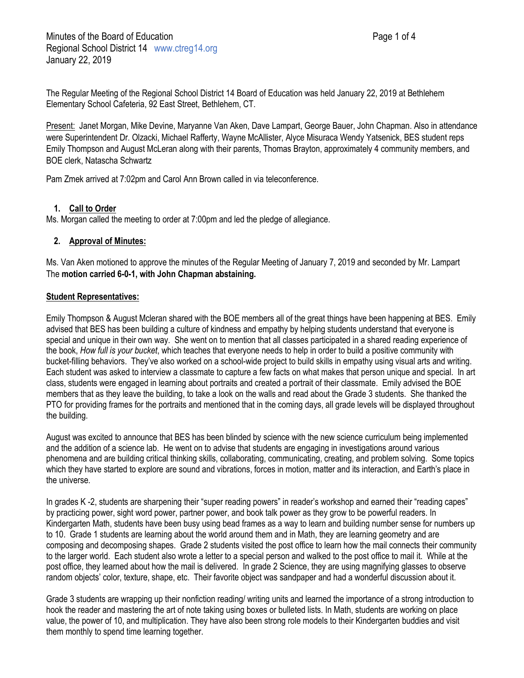Present: Janet Morgan, Mike Devine, Maryanne Van Aken, Dave Lampart, George Bauer, John Chapman. Also in attendance were Superintendent Dr. Olzacki, Michael Rafferty, Wayne McAllister, Alyce Misuraca Wendy Yatsenick, BES student reps Emily Thompson and August McLeran along with their parents, Thomas Brayton, approximately 4 community members, and BOE clerk, Natascha Schwartz

Pam Zmek arrived at 7:02pm and Carol Ann Brown called in via teleconference.

# **1. Call to Order**

Ms. Morgan called the meeting to order at 7:00pm and led the pledge of allegiance.

# **2. Approval of Minutes:**

Ms. Van Aken motioned to approve the minutes of the Regular Meeting of January 7, 2019 and seconded by Mr. Lampart The **motion carried 6-0-1, with John Chapman abstaining.**

# **Student Representatives:**

Emily Thompson & August Mcleran shared with the BOE members all of the great things have been happening at BES. Emily advised that BES has been building a culture of kindness and empathy by helping students understand that everyone is special and unique in their own way. She went on to mention that all classes participated in a shared reading experience of the book, *How full is your bucket*, which teaches that everyone needs to help in order to build a positive community with bucket-filling behaviors. They've also worked on a school-wide project to build skills in empathy using visual arts and writing. Each student was asked to interview a classmate to capture a few facts on what makes that person unique and special. In art class, students were engaged in learning about portraits and created a portrait of their classmate. Emily advised the BOE members that as they leave the building, to take a look on the walls and read about the Grade 3 students. She thanked the PTO for providing frames for the portraits and mentioned that in the coming days, all grade levels will be displayed throughout the building.

August was excited to announce that BES has been blinded by science with the new science curriculum being implemented and the addition of a science lab. He went on to advise that students are engaging in investigations around various phenomena and are building critical thinking skills, collaborating, communicating, creating, and problem solving. Some topics which they have started to explore are sound and vibrations, forces in motion, matter and its interaction, and Earth's place in the universe.

In grades K -2, students are sharpening their "super reading powers" in reader's workshop and earned their "reading capes" by practicing power, sight word power, partner power, and book talk power as they grow to be powerful readers. In Kindergarten Math, students have been busy using bead frames as a way to learn and building number sense for numbers up to 10. Grade 1 students are learning about the world around them and in Math, they are learning geometry and are composing and decomposing shapes. Grade 2 students visited the post office to learn how the mail connects their community to the larger world. Each student also wrote a letter to a special person and walked to the post office to mail it. While at the post office, they learned about how the mail is delivered. In grade 2 Science, they are using magnifying glasses to observe random objects' color, texture, shape, etc. Their favorite object was sandpaper and had a wonderful discussion about it.

Grade 3 students are wrapping up their nonfiction reading/ writing units and learned the importance of a strong introduction to hook the reader and mastering the art of note taking using boxes or bulleted lists. In Math, students are working on place value, the power of 10, and multiplication. They have also been strong role models to their Kindergarten buddies and visit them monthly to spend time learning together.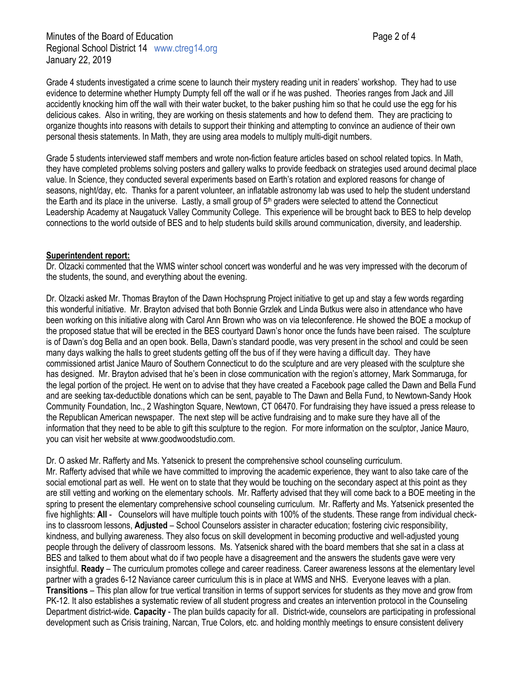Grade 4 students investigated a crime scene to launch their mystery reading unit in readers' workshop. They had to use evidence to determine whether Humpty Dumpty fell off the wall or if he was pushed. Theories ranges from Jack and Jill accidently knocking him off the wall with their water bucket, to the baker pushing him so that he could use the egg for his delicious cakes. Also in writing, they are working on thesis statements and how to defend them. They are practicing to organize thoughts into reasons with details to support their thinking and attempting to convince an audience of their own personal thesis statements. In Math, they are using area models to multiply multi-digit numbers.

Grade 5 students interviewed staff members and wrote non-fiction feature articles based on school related topics. In Math, they have completed problems solving posters and gallery walks to provide feedback on strategies used around decimal place value. In Science, they conducted several experiments based on Earth's rotation and explored reasons for change of seasons, night/day, etc. Thanks for a parent volunteer, an inflatable astronomy lab was used to help the student understand the Earth and its place in the universe. Lastly, a small group of  $5<sup>th</sup>$  graders were selected to attend the Connecticut Leadership Academy at Naugatuck Valley Community College. This experience will be brought back to BES to help develop connections to the world outside of BES and to help students build skills around communication, diversity, and leadership.

### **Superintendent report:**

Dr. Olzacki commented that the WMS winter school concert was wonderful and he was very impressed with the decorum of the students, the sound, and everything about the evening.

Dr. Olzacki asked Mr. Thomas Brayton of the Dawn Hochsprung Project initiative to get up and stay a few words regarding this wonderful initiative. Mr. Brayton advised that both Bonnie Grzlek and Linda Butkus were also in attendance who have been working on this initiative along with Carol Ann Brown who was on via teleconference. He showed the BOE a mockup of the proposed statue that will be erected in the BES courtyard Dawn's honor once the funds have been raised. The sculpture is of Dawn's dog Bella and an open book. Bella, Dawn's standard poodle, was very present in the school and could be seen many days walking the halls to greet students getting off the bus of if they were having a difficult day. They have commissioned artist Janice Mauro of Southern Connecticut to do the sculpture and are very pleased with the sculpture she has designed. Mr. Brayton advised that he's been in close communication with the region's attorney, Mark Sommaruga, for the legal portion of the project. He went on to advise that they have created a Facebook page called the Dawn and Bella Fund and are seeking tax-deductible donations which can be sent, payable to The Dawn and Bella Fund, to Newtown-Sandy Hook Community Foundation, Inc., 2 Washington Square, Newtown, CT 06470. For fundraising they have issued a press release to the Republican American newspaper. The next step will be active fundraising and to make sure they have all of the information that they need to be able to gift this sculpture to the region. For more information on the sculptor, Janice Mauro, you can visit her website at www.goodwoodstudio.com.

Dr. O asked Mr. Rafferty and Ms. Yatsenick to present the comprehensive school counseling curriculum.

Mr. Rafferty advised that while we have committed to improving the academic experience, they want to also take care of the social emotional part as well. He went on to state that they would be touching on the secondary aspect at this point as they are still vetting and working on the elementary schools. Mr. Rafferty advised that they will come back to a BOE meeting in the spring to present the elementary comprehensive school counseling curriculum. Mr. Rafferty and Ms. Yatsenick presented the five highlights: **All** - Counselors will have multiple touch points with 100% of the students. These range from individual checkins to classroom lessons, **Adjusted** – School Counselors assister in character education; fostering civic responsibility, kindness, and bullying awareness. They also focus on skill development in becoming productive and well-adjusted young people through the delivery of classroom lessons. Ms. Yatsenick shared with the board members that she sat in a class at BES and talked to them about what do if two people have a disagreement and the answers the students gave were very insightful. **Ready** – The curriculum promotes college and career readiness. Career awareness lessons at the elementary level partner with a grades 6-12 Naviance career curriculum this is in place at WMS and NHS. Everyone leaves with a plan. **Transitions** – This plan allow for true vertical transition in terms of support services for students as they move and grow from PK-12. It also establishes a systematic review of all student progress and creates an intervention protocol in the Counseling Department district-wide. **Capacity** - The plan builds capacity for all. District-wide, counselors are participating in professional development such as Crisis training, Narcan, True Colors, etc. and holding monthly meetings to ensure consistent delivery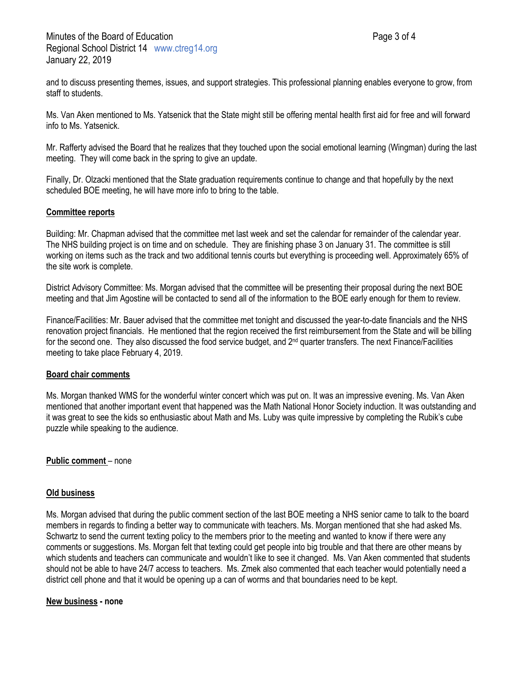and to discuss presenting themes, issues, and support strategies. This professional planning enables everyone to grow, from staff to students.

Ms. Van Aken mentioned to Ms. Yatsenick that the State might still be offering mental health first aid for free and will forward info to Ms. Yatsenick.

Mr. Rafferty advised the Board that he realizes that they touched upon the social emotional learning (Wingman) during the last meeting. They will come back in the spring to give an update.

Finally, Dr. Olzacki mentioned that the State graduation requirements continue to change and that hopefully by the next scheduled BOE meeting, he will have more info to bring to the table.

### **Committee reports**

Building: Mr. Chapman advised that the committee met last week and set the calendar for remainder of the calendar year. The NHS building project is on time and on schedule. They are finishing phase 3 on January 31. The committee is still working on items such as the track and two additional tennis courts but everything is proceeding well. Approximately 65% of the site work is complete.

District Advisory Committee: Ms. Morgan advised that the committee will be presenting their proposal during the next BOE meeting and that Jim Agostine will be contacted to send all of the information to the BOE early enough for them to review.

Finance/Facilities: Mr. Bauer advised that the committee met tonight and discussed the year-to-date financials and the NHS renovation project financials. He mentioned that the region received the first reimbursement from the State and will be billing for the second one. They also discussed the food service budget, and  $2<sup>nd</sup>$  quarter transfers. The next Finance/Facilities meeting to take place February 4, 2019.

### **Board chair comments**

Ms. Morgan thanked WMS for the wonderful winter concert which was put on. It was an impressive evening. Ms. Van Aken mentioned that another important event that happened was the Math National Honor Society induction. It was outstanding and it was great to see the kids so enthusiastic about Math and Ms. Luby was quite impressive by completing the Rubik's cube puzzle while speaking to the audience.

**Public comment** – none

### **Old business**

Ms. Morgan advised that during the public comment section of the last BOE meeting a NHS senior came to talk to the board members in regards to finding a better way to communicate with teachers. Ms. Morgan mentioned that she had asked Ms. Schwartz to send the current texting policy to the members prior to the meeting and wanted to know if there were any comments or suggestions. Ms. Morgan felt that texting could get people into big trouble and that there are other means by which students and teachers can communicate and wouldn't like to see it changed. Ms. Van Aken commented that students should not be able to have 24/7 access to teachers. Ms. Zmek also commented that each teacher would potentially need a district cell phone and that it would be opening up a can of worms and that boundaries need to be kept.

### **New business - none**